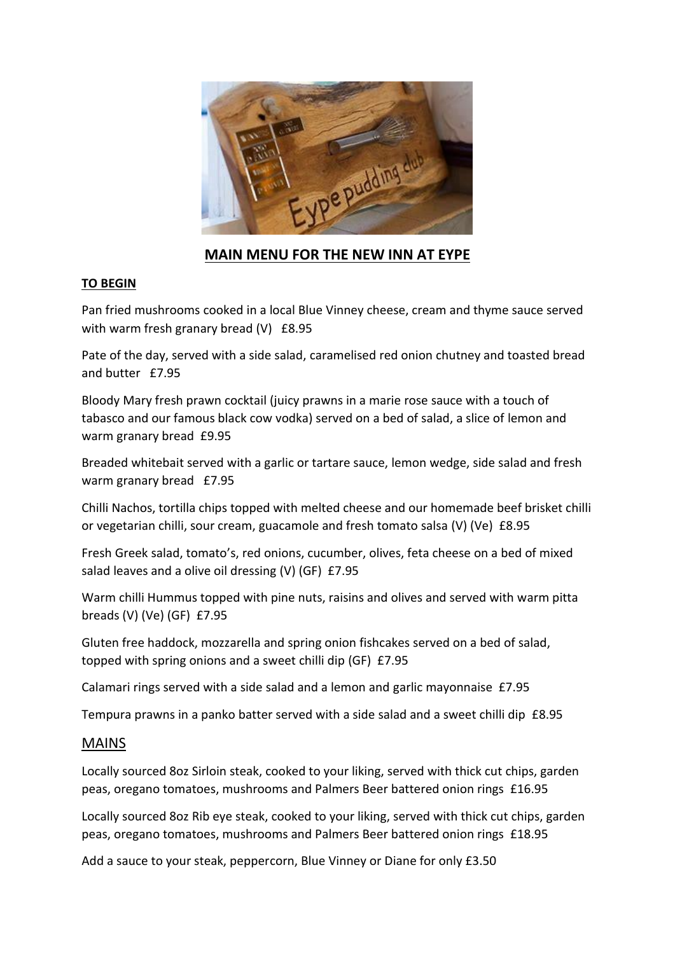

# **MAIN MENU FOR THE NEW INN AT EYPE**

### **TO BEGIN**

Pan fried mushrooms cooked in a local Blue Vinney cheese, cream and thyme sauce served with warm fresh granary bread (V) £8.95

Pate of the day, served with a side salad, caramelised red onion chutney and toasted bread and butter £7.95

Bloody Mary fresh prawn cocktail (juicy prawns in a marie rose sauce with a touch of tabasco and our famous black cow vodka) served on a bed of salad, a slice of lemon and warm granary bread £9.95

Breaded whitebait served with a garlic or tartare sauce, lemon wedge, side salad and fresh warm granary bread £7.95

Chilli Nachos, tortilla chips topped with melted cheese and our homemade beef brisket chilli or vegetarian chilli, sour cream, guacamole and fresh tomato salsa (V) (Ve) £8.95

Fresh Greek salad, tomato's, red onions, cucumber, olives, feta cheese on a bed of mixed salad leaves and a olive oil dressing (V) (GF) £7.95

Warm chilli Hummus topped with pine nuts, raisins and olives and served with warm pitta breads (V) (Ve) (GF) £7.95

Gluten free haddock, mozzarella and spring onion fishcakes served on a bed of salad, topped with spring onions and a sweet chilli dip (GF) £7.95

Calamari rings served with a side salad and a lemon and garlic mayonnaise £7.95

Tempura prawns in a panko batter served with a side salad and a sweet chilli dip £8.95

### MAINS

Locally sourced 8oz Sirloin steak, cooked to your liking, served with thick cut chips, garden peas, oregano tomatoes, mushrooms and Palmers Beer battered onion rings £16.95

Locally sourced 8oz Rib eye steak, cooked to your liking, served with thick cut chips, garden peas, oregano tomatoes, mushrooms and Palmers Beer battered onion rings £18.95

Add a sauce to your steak, peppercorn, Blue Vinney or Diane for only £3.50